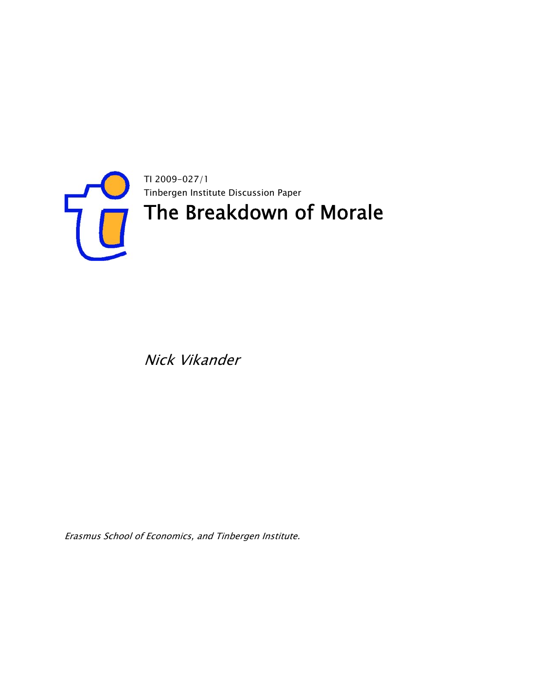

Nick Vikander

Erasmus School of Economics, and Tinbergen Institute.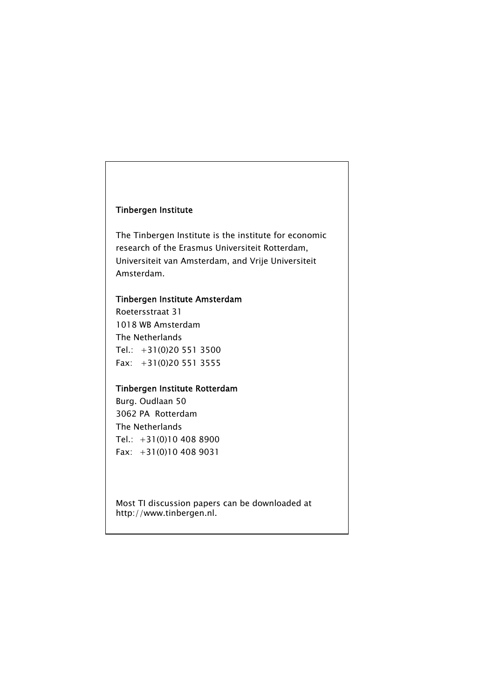### Tinbergen Institute

The Tinbergen Institute is the institute for economic research of the Erasmus Universiteit Rotterdam, Universiteit van Amsterdam, and Vrije Universiteit Amsterdam.

### Tinbergen Institute Amsterdam

Roetersstraat 31 1018 WB Amsterdam The Netherlands Tel.: +31(0)20 551 3500 Fax: +31(0)20 551 3555

# Tinbergen Institute Rotterdam

Burg. Oudlaan 50 3062 PA Rotterdam The Netherlands Tel.: +31(0)10 408 8900 Fax: +31(0)10 408 9031

Most TI discussion papers can be downloaded at http://www.tinbergen.nl.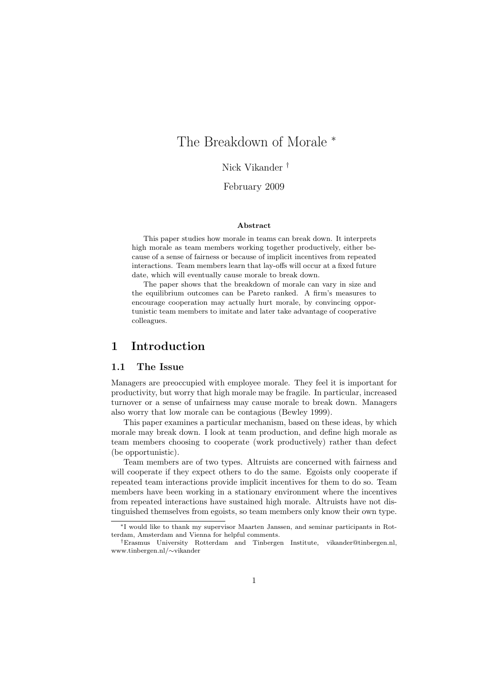# The Breakdown of Morale  $*$

Nick Vikander †

February 2009

#### Abstract

This paper studies how morale in teams can break down. It interprets high morale as team members working together productively, either because of a sense of fairness or because of implicit incentives from repeated interactions. Team members learn that lay-offs will occur at a fixed future date, which will eventually cause morale to break down.

The paper shows that the breakdown of morale can vary in size and the equilibrium outcomes can be Pareto ranked. A firm's measures to encourage cooperation may actually hurt morale, by convincing opportunistic team members to imitate and later take advantage of cooperative colleagues.

### 1 Introduction

### 1.1 The Issue

Managers are preoccupied with employee morale. They feel it is important for productivity, but worry that high morale may be fragile. In particular, increased turnover or a sense of unfairness may cause morale to break down. Managers also worry that low morale can be contagious (Bewley 1999).

This paper examines a particular mechanism, based on these ideas, by which morale may break down. I look at team production, and define high morale as team members choosing to cooperate (work productively) rather than defect (be opportunistic).

Team members are of two types. Altruists are concerned with fairness and will cooperate if they expect others to do the same. Egoists only cooperate if repeated team interactions provide implicit incentives for them to do so. Team members have been working in a stationary environment where the incentives from repeated interactions have sustained high morale. Altruists have not distinguished themselves from egoists, so team members only know their own type.

<sup>∗</sup>I would like to thank my supervisor Maarten Janssen, and seminar participants in Rotterdam, Amsterdam and Vienna for helpful comments.

<sup>†</sup>Erasmus University Rotterdam and Tinbergen Institute, vikander@tinbergen.nl, www.tinbergen.nl/∼vikander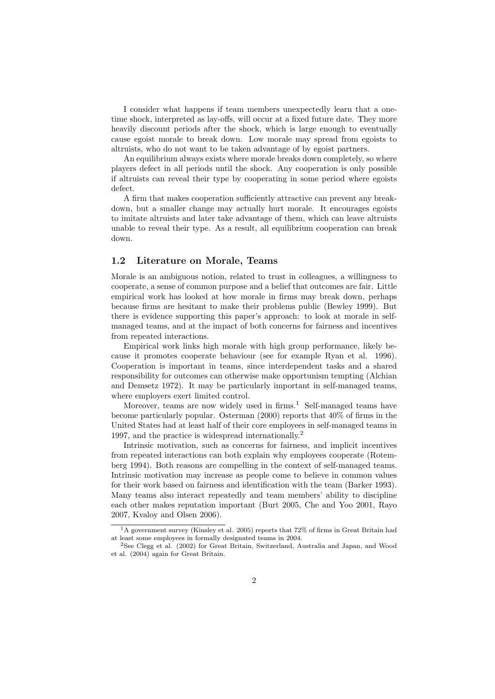I consider what happens if team members unexpectedly learn that a onetime shock, interpreted as lay-offs, will occur at a fixed future date. They more heavily discount periods after the shock, which is large enough to eventually cause egoist morale to break down. Low morale may spread from egoists to altruists, who do not want to be taken advantage of by egoist partners.

An equilibrium always exists where morale breaks down completely, so where players defect in all periods until the shock. Any cooperation is only possible if altruists can reveal their type by cooperating in some period where egoists defect.

A firm that makes cooperation sufficiently attractive can prevent any breakdown, but a smaller change may actually hurt morale. It encourages egoists to imitate altruists and later take advantage of them, which can leave altruists unable to reveal their type. As a result, all equilibrium cooperation can break down.

#### 1.2 Literature on Morale, Teams

Morale is an ambiguous notion, related to trust in colleagues, a willingness to cooperate, a sense of common purpose and a belief that outcomes are fair. Little empirical work has looked at how morale in firms may break down, perhaps because firms are hesitant to make their problems public (Bewley 1999). But there is evidence supporting this paper's approach: to look at morale in selfmanaged teams, and at the impact of both concerns for fairness and incentives from repeated interactions.

Empirical work links high morale with high group performance, likely because it promotes cooperate behaviour (see for example Ryan et al. 1996). Cooperation is important in teams, since interdependent tasks and a shared responsibility for outcomes can otherwise make opportunism tempting (Alchian and Demsetz 1972). It may be particularly important in self-managed teams, where employers exert limited control.

Moreover, teams are now widely used in firms.<sup>1</sup> Self-managed teams have become particularly popular. Osterman (2000) reports that 40% of firms in the United States had at least half of their core employees in self-managed teams in 1997, and the practice is widespread internationally.<sup>2</sup>

Intrinsic motivation, such as concerns for fairness, and implicit incentives from repeated interactions can both explain why employees cooperate (Rotemberg 1994). Both reasons are compelling in the context of self-managed teams. Intrinsic motivation may increase as people come to believe in common values for their work based on fairness and identification with the team (Barker 1993). Many teams also interact repeatedly and team members' ability to discipline each other makes reputation important (Burt 2005, Che and Yoo 2001, Rayo 2007, Kvaloy and Olsen 2006).

<sup>&</sup>lt;sup>1</sup>A government survey (Kinsley et al. 2005) reports that 72% of firms in Great Britain had at least some employees in formally designated teams in 2004.

<sup>2</sup>See Clegg et al. (2002) for Great Britain, Switzerland, Australia and Japan, and Wood et al. (2004) again for Great Britain.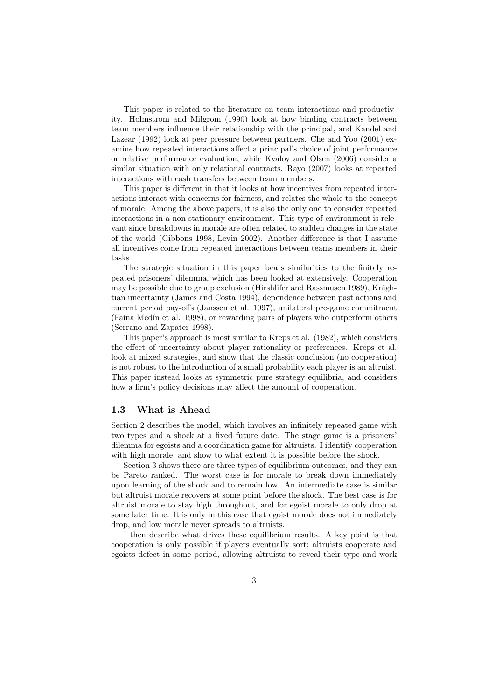This paper is related to the literature on team interactions and productivity. Holmstrom and Milgrom (1990) look at how binding contracts between team members influence their relationship with the principal, and Kandel and Lazear (1992) look at peer pressure between partners. Che and Yoo (2001) examine how repeated interactions affect a principal's choice of joint performance or relative performance evaluation, while Kvaloy and Olsen (2006) consider a similar situation with only relational contracts. Rayo (2007) looks at repeated interactions with cash transfers between team members.

This paper is different in that it looks at how incentives from repeated interactions interact with concerns for fairness, and relates the whole to the concept of morale. Among the above papers, it is also the only one to consider repeated interactions in a non-stationary environment. This type of environment is relevant since breakdowns in morale are often related to sudden changes in the state of the world (Gibbons 1998, Levin 2002). Another difference is that I assume all incentives come from repeated interactions between teams members in their tasks.

The strategic situation in this paper bears similarities to the finitely repeated prisoners' dilemma, which has been looked at extensively. Cooperation may be possible due to group exclusion (Hirshlifer and Rassmusen 1989), Knightian uncertainty (James and Costa 1994), dependence between past actions and current period pay-offs (Janssen et al. 1997), unilateral pre-game commitment (Faíña Medín et al. 1998), or rewarding pairs of players who outperform others (Serrano and Zapater 1998).

This paper's approach is most similar to Kreps et al. (1982), which considers the effect of uncertainty about player rationality or preferences. Kreps et al. look at mixed strategies, and show that the classic conclusion (no cooperation) is not robust to the introduction of a small probability each player is an altruist. This paper instead looks at symmetric pure strategy equilibria, and considers how a firm's policy decisions may affect the amount of cooperation.

#### 1.3 What is Ahead

Section 2 describes the model, which involves an infinitely repeated game with two types and a shock at a fixed future date. The stage game is a prisoners' dilemma for egoists and a coordination game for altruists. I identify cooperation with high morale, and show to what extent it is possible before the shock.

Section 3 shows there are three types of equilibrium outcomes, and they can be Pareto ranked. The worst case is for morale to break down immediately upon learning of the shock and to remain low. An intermediate case is similar but altruist morale recovers at some point before the shock. The best case is for altruist morale to stay high throughout, and for egoist morale to only drop at some later time. It is only in this case that egoist morale does not immediately drop, and low morale never spreads to altruists.

I then describe what drives these equilibrium results. A key point is that cooperation is only possible if players eventually sort; altruists cooperate and egoists defect in some period, allowing altruists to reveal their type and work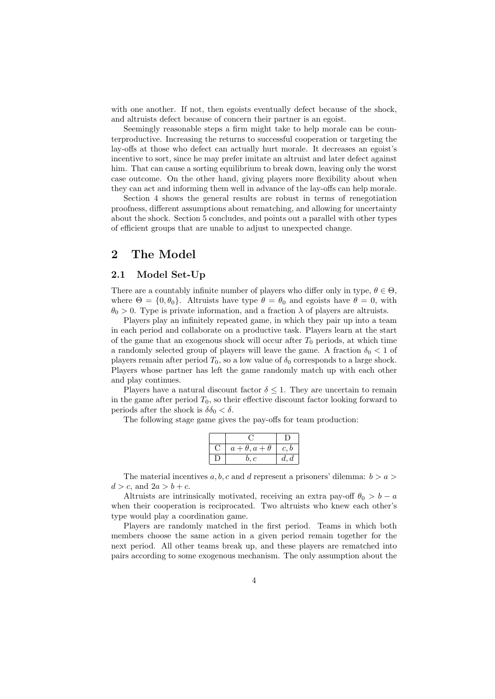with one another. If not, then egoists eventually defect because of the shock. and altruists defect because of concern their partner is an egoist.

Seemingly reasonable steps a firm might take to help morale can be counterproductive. Increasing the returns to successful cooperation or targeting the lay-offs at those who defect can actually hurt morale. It decreases an egoist's incentive to sort, since he may prefer imitate an altruist and later defect against him. That can cause a sorting equilibrium to break down, leaving only the worst case outcome. On the other hand, giving players more flexibility about when they can act and informing them well in advance of the lay-offs can help morale.

Section 4 shows the general results are robust in terms of renegotiation proofness, different assumptions about rematching, and allowing for uncertainty about the shock. Section 5 concludes, and points out a parallel with other types of efficient groups that are unable to adjust to unexpected change.

# 2 The Model

### 2.1 Model Set-Up

There are a countably infinite number of players who differ only in type,  $\theta \in \Theta$ . where  $\Theta = \{0, \theta_0\}$ . Altruists have type  $\theta = \theta_0$  and egoists have  $\theta = 0$ , with  $\theta_0 > 0$ . Type is private information, and a fraction  $\lambda$  of players are altruists.

Players play an infinitely repeated game, in which they pair up into a team in each period and collaborate on a productive task. Players learn at the start of the game that an exogenous shock will occur after  $T_0$  periods, at which time a randomly selected group of players will leave the game. A fraction  $\delta_0 < 1$  of players remain after period  $T_0$ , so a low value of  $\delta_0$  corresponds to a large shock. Players whose partner has left the game randomly match up with each other and play continues.

Players have a natural discount factor  $\delta \leq 1$ . They are uncertain to remain in the game after period  $T_0$ , so their effective discount factor looking forward to periods after the shock is  $\delta \delta_0 < \delta$ .

The following stage game gives the pay-offs for team production:

| $a+\theta, a+\theta$ | c, b |
|----------------------|------|
| b. c                 | d, d |

The material incentives  $a, b, c$  and d represent a prisoners' dilemma:  $b > a >$  $d > c$ , and  $2a > b + c$ .

Altruists are intrinsically motivated, receiving an extra pay-off  $\theta_0 > b - a$ when their cooperation is reciprocated. Two altruists who knew each other's type would play a coordination game.

Players are randomly matched in the first period. Teams in which both members choose the same action in a given period remain together for the next period. All other teams break up, and these players are rematched into pairs according to some exogenous mechanism. The only assumption about the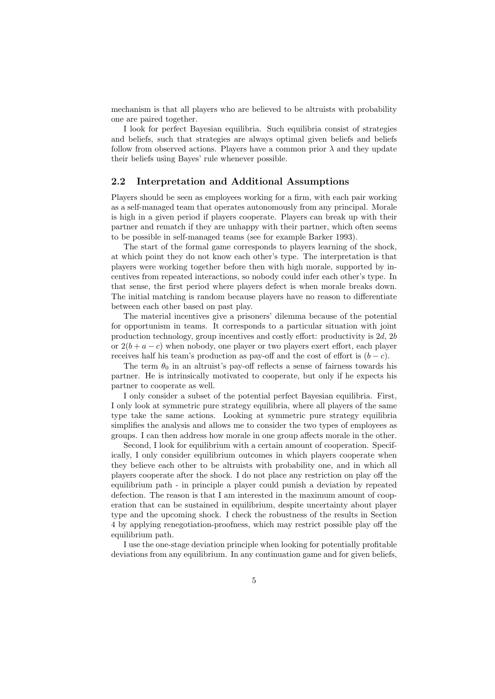mechanism is that all players who are believed to be altruists with probability one are paired together.

I look for perfect Bayesian equilibria. Such equilibria consist of strategies and beliefs, such that strategies are always optimal given beliefs and beliefs follow from observed actions. Players have a common prior  $\lambda$  and they update their beliefs using Bayes' rule whenever possible.

#### 2.2 Interpretation and Additional Assumptions

Players should be seen as employees working for a firm, with each pair working as a self-managed team that operates autonomously from any principal. Morale is high in a given period if players cooperate. Players can break up with their partner and rematch if they are unhappy with their partner, which often seems to be possible in self-managed teams (see for example Barker 1993).

The start of the formal game corresponds to players learning of the shock, at which point they do not know each other's type. The interpretation is that players were working together before then with high morale, supported by incentives from repeated interactions, so nobody could infer each other's type. In that sense, the first period where players defect is when morale breaks down. The initial matching is random because players have no reason to differentiate between each other based on past play.

The material incentives give a prisoners' dilemma because of the potential for opportunism in teams. It corresponds to a particular situation with joint production technology, group incentives and costly effort: productivity is 2d, 2b or  $2(b + a - c)$  when nobody, one player or two players exert effort, each player receives half his team's production as pay-off and the cost of effort is  $(b - c)$ .

The term  $\theta_0$  in an altruist's pay-off reflects a sense of fairness towards his partner. He is intrinsically motivated to cooperate, but only if he expects his partner to cooperate as well.

I only consider a subset of the potential perfect Bayesian equilibria. First, I only look at symmetric pure strategy equilibria, where all players of the same type take the same actions. Looking at symmetric pure strategy equilibria simplifies the analysis and allows me to consider the two types of employees as groups. I can then address how morale in one group affects morale in the other.

Second, I look for equilibrium with a certain amount of cooperation. Specifically, I only consider equilibrium outcomes in which players cooperate when they believe each other to be altruists with probability one, and in which all players cooperate after the shock. I do not place any restriction on play off the equilibrium path - in principle a player could punish a deviation by repeated defection. The reason is that I am interested in the maximum amount of cooperation that can be sustained in equilibrium, despite uncertainty about player type and the upcoming shock. I check the robustness of the results in Section 4 by applying renegotiation-proofness, which may restrict possible play off the equilibrium path.

I use the one-stage deviation principle when looking for potentially profitable deviations from any equilibrium. In any continuation game and for given beliefs,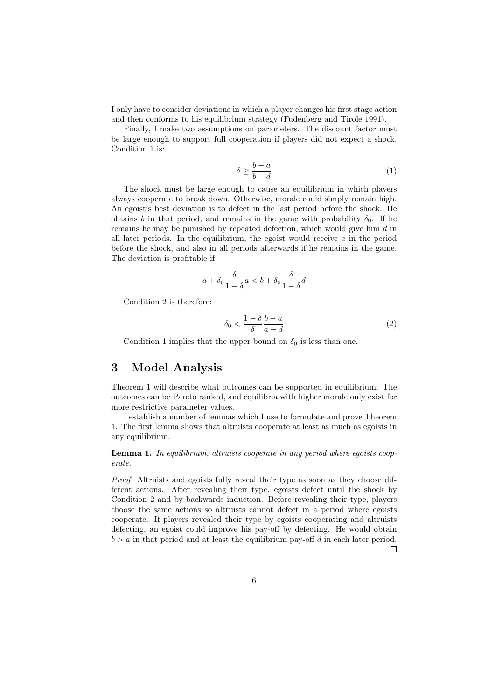I only have to consider deviations in which a player changes his first stage action and then conforms to his equilibrium strategy (Fudenberg and Tirole 1991).

Finally, I make two assumptions on parameters. The discount factor must be large enough to support full cooperation if players did not expect a shock. Condition 1 is:

$$
\delta \ge \frac{b-a}{b-d} \tag{1}
$$

The shock must be large enough to cause an equilibrium in which players always cooperate to break down. Otherwise, morale could simply remain high. An egoist's best deviation is to defect in the last period before the shock. He obtains b in that period, and remains in the game with probability  $\delta_0$ . If he remains he may be punished by repeated defection, which would give him d in all later periods. In the equilibrium, the egoist would receive  $a$  in the period before the shock, and also in all periods afterwards if he remains in the game. The deviation is profitable if:

$$
a+\delta_0\frac{\delta}{1-\delta}a
$$

Condition 2 is therefore:

$$
\delta_0 < \frac{1 - \delta}{\delta} \frac{b - a}{a - d} \tag{2}
$$

Condition 1 implies that the upper bound on  $\delta_0$  is less than one.

# 3 Model Analysis

Theorem 1 will describe what outcomes can be supported in equilibrium. The outcomes can be Pareto ranked, and equilibria with higher morale only exist for more restrictive parameter values.

I establish a number of lemmas which I use to formulate and prove Theorem 1. The first lemma shows that altruists cooperate at least as much as egoists in any equilibrium.

Lemma 1. In equilibrium, altruists cooperate in any period where egoists cooperate.

Proof. Altruists and egoists fully reveal their type as soon as they choose different actions. After revealing their type, egoists defect until the shock by Condition 2 and by backwards induction. Before revealing their type, players choose the same actions so altruists cannot defect in a period where egoists cooperate. If players revealed their type by egoists cooperating and altruists defecting, an egoist could improve his pay-off by defecting. He would obtain  $b > a$  in that period and at least the equilibrium pay-off d in each later period.  $\Box$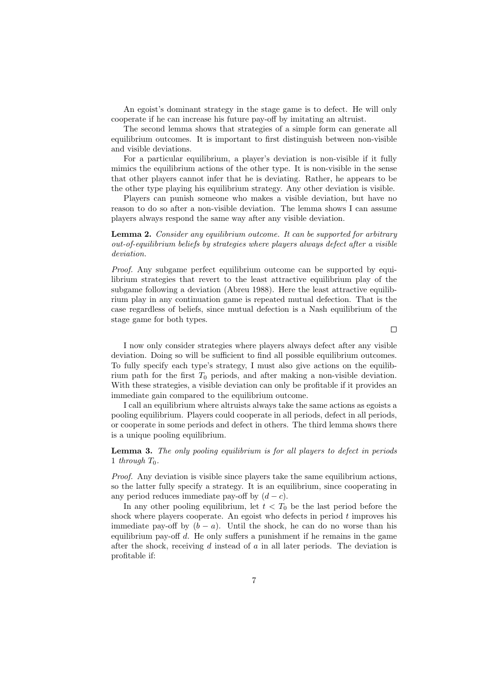An egoist's dominant strategy in the stage game is to defect. He will only cooperate if he can increase his future pay-off by imitating an altruist.

The second lemma shows that strategies of a simple form can generate all equilibrium outcomes. It is important to first distinguish between non-visible and visible deviations.

For a particular equilibrium, a player's deviation is non-visible if it fully mimics the equilibrium actions of the other type. It is non-visible in the sense that other players cannot infer that he is deviating. Rather, he appears to be the other type playing his equilibrium strategy. Any other deviation is visible.

Players can punish someone who makes a visible deviation, but have no reason to do so after a non-visible deviation. The lemma shows I can assume players always respond the same way after any visible deviation.

Lemma 2. Consider any equilibrium outcome. It can be supported for arbitrary out-of-equilibrium beliefs by strategies where players always defect after a visible deviation.

Proof. Any subgame perfect equilibrium outcome can be supported by equilibrium strategies that revert to the least attractive equilibrium play of the subgame following a deviation (Abreu 1988). Here the least attractive equilibrium play in any continuation game is repeated mutual defection. That is the case regardless of beliefs, since mutual defection is a Nash equilibrium of the stage game for both types.

 $\Box$ 

I now only consider strategies where players always defect after any visible deviation. Doing so will be sufficient to find all possible equilibrium outcomes. To fully specify each type's strategy, I must also give actions on the equilibrium path for the first  $T_0$  periods, and after making a non-visible deviation. With these strategies, a visible deviation can only be profitable if it provides an immediate gain compared to the equilibrium outcome.

I call an equilibrium where altruists always take the same actions as egoists a pooling equilibrium. Players could cooperate in all periods, defect in all periods, or cooperate in some periods and defect in others. The third lemma shows there is a unique pooling equilibrium.

#### Lemma 3. The only pooling equilibrium is for all players to defect in periods 1 through  $T_0$ .

Proof. Any deviation is visible since players take the same equilibrium actions, so the latter fully specify a strategy. It is an equilibrium, since cooperating in any period reduces immediate pay-off by  $(d - c)$ .

In any other pooling equilibrium, let  $t < T_0$  be the last period before the shock where players cooperate. An egoist who defects in period  $t$  improves his immediate pay-off by  $(b - a)$ . Until the shock, he can do no worse than his equilibrium pay-off  $d$ . He only suffers a punishment if he remains in the game after the shock, receiving  $d$  instead of  $a$  in all later periods. The deviation is profitable if: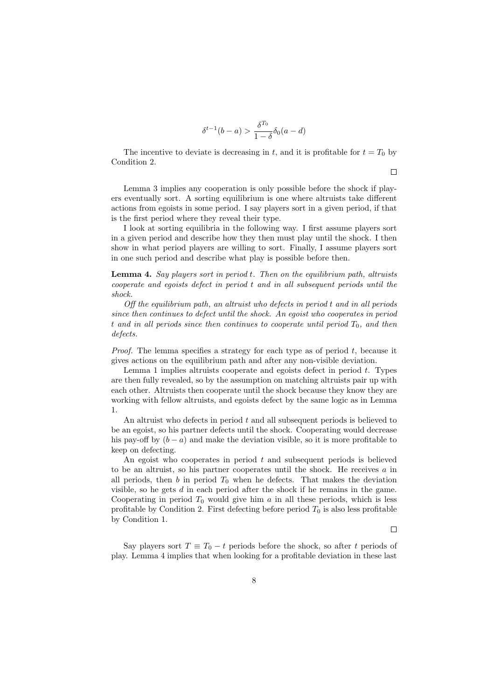$$
\delta^{t-1}(b-a) > \frac{\delta^{T_0}}{1-\delta}\delta_0(a-d)
$$

The incentive to deviate is decreasing in t, and it is profitable for  $t = T_0$  by Condition 2.

 $\Box$ 

Lemma 3 implies any cooperation is only possible before the shock if players eventually sort. A sorting equilibrium is one where altruists take different actions from egoists in some period. I say players sort in a given period, if that is the first period where they reveal their type.

I look at sorting equilibria in the following way. I first assume players sort in a given period and describe how they then must play until the shock. I then show in what period players are willing to sort. Finally, I assume players sort in one such period and describe what play is possible before then.

Lemma 4. Say players sort in period t. Then on the equilibrium path, altruists cooperate and egoists defect in period t and in all subsequent periods until the shock.

Off the equilibrium path, an altruist who defects in period t and in all periods since then continues to defect until the shock. An egoist who cooperates in period t and in all periods since then continues to cooperate until period  $T_0$ , and then defects.

*Proof.* The lemma specifies a strategy for each type as of period  $t$ , because it gives actions on the equilibrium path and after any non-visible deviation.

Lemma 1 implies altruists cooperate and egoists defect in period t. Types are then fully revealed, so by the assumption on matching altruists pair up with each other. Altruists then cooperate until the shock because they know they are working with fellow altruists, and egoists defect by the same logic as in Lemma 1.

An altruist who defects in period  $t$  and all subsequent periods is believed to be an egoist, so his partner defects until the shock. Cooperating would decrease his pay-off by  $(b - a)$  and make the deviation visible, so it is more profitable to keep on defecting.

An egoist who cooperates in period  $t$  and subsequent periods is believed to be an altruist, so his partner cooperates until the shock. He receives a in all periods, then  $b$  in period  $T_0$  when he defects. That makes the deviation visible, so he gets  $d$  in each period after the shock if he remains in the game. Cooperating in period  $T_0$  would give him a in all these periods, which is less profitable by Condition 2. First defecting before period  $T_0$  is also less profitable by Condition 1.

 $\Box$ 

Say players sort  $T \equiv T_0 - t$  periods before the shock, so after t periods of play. Lemma 4 implies that when looking for a profitable deviation in these last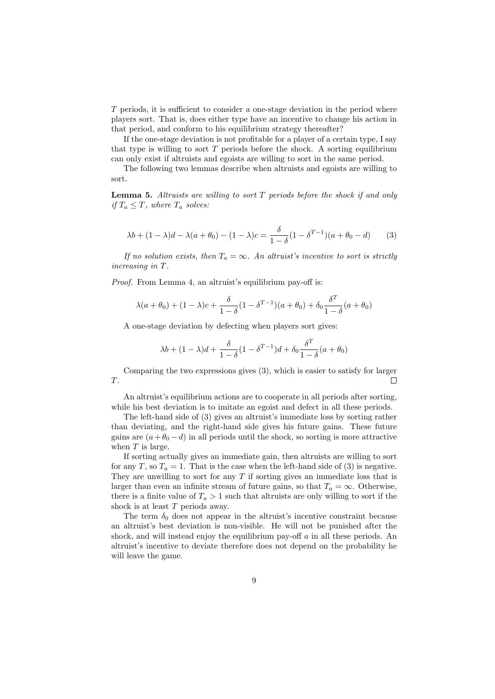T periods, it is sufficient to consider a one-stage deviation in the period where players sort. That is, does either type have an incentive to change his action in that period, and conform to his equilibrium strategy thereafter?

If the one-stage deviation is not profitable for a player of a certain type, I say that type is willing to sort  $T$  periods before the shock. A sorting equilibrium can only exist if altruists and egoists are willing to sort in the same period.

The following two lemmas describe when altruists and egoists are willing to sort.

**Lemma 5.** Altruists are willing to sort  $T$  periods before the shock if and only if  $T_a \leq T$ , where  $T_a$  solves:

$$
\lambda b + (1 - \lambda)d - \lambda(a + \theta_0) - (1 - \lambda)c = \frac{\delta}{1 - \delta}(1 - \delta^{T-1})(a + \theta_0 - d)
$$
 (3)

If no solution exists, then  $T_a = \infty$ . An altruist's incentive to sort is strictly increasing in T.

Proof. From Lemma 4, an altruist's equilibrium pay-off is:

$$
\lambda(a+\theta_0) + (1-\lambda)c + \frac{\delta}{1-\delta}(1-\delta^{T-1})(a+\theta_0) + \delta_0 \frac{\delta^T}{1-\delta}(a+\theta_0)
$$

A one-stage deviation by defecting when players sort gives:

$$
\lambda b + (1-\lambda)d + \frac{\delta}{1-\delta}(1-\delta^{T-1})d + \delta_0\frac{\delta^T}{1-\delta}(a+\theta_0)
$$

Comparing the two expressions gives (3), which is easier to satisfy for larger T. П

An altruist's equilibrium actions are to cooperate in all periods after sorting, while his best deviation is to imitate an egoist and defect in all these periods.

The left-hand side of (3) gives an altruist's immediate loss by sorting rather than deviating, and the right-hand side gives his future gains. These future gains are  $(a+\theta_0-d)$  in all periods until the shock, so sorting is more attractive when  $T$  is large.

If sorting actually gives an immediate gain, then altruists are willing to sort for any T, so  $T_a = 1$ . That is the case when the left-hand side of (3) is negative. They are unwilling to sort for any  $T$  if sorting gives an immediate loss that is larger than even an infinite stream of future gains, so that  $T_a = \infty$ . Otherwise, there is a finite value of  $T_a > 1$  such that altruists are only willing to sort if the shock is at least T periods away.

The term  $\delta_0$  does not appear in the altruist's incentive constraint because an altruist's best deviation is non-visible. He will not be punished after the shock, and will instead enjoy the equilibrium pay-off a in all these periods. An altruist's incentive to deviate therefore does not depend on the probability he will leave the game.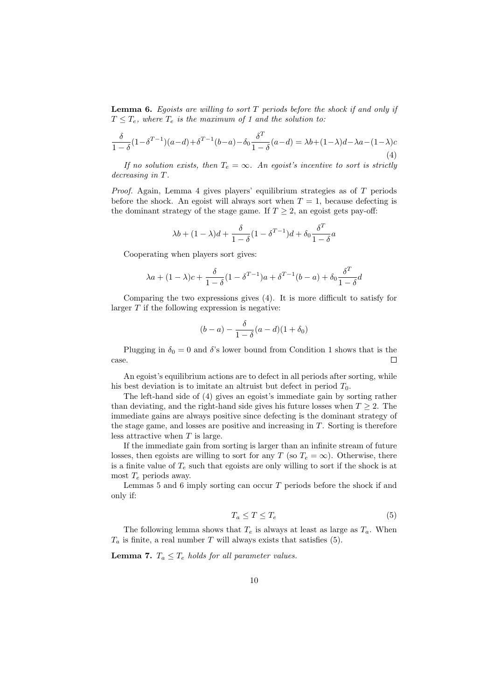**Lemma 6.** Egoists are willing to sort  $T$  periods before the shock if and only if  $T \leq T_e$ , where  $T_e$  is the maximum of 1 and the solution to:

$$
\frac{\delta}{1-\delta}(1-\delta^{T-1})(a-d)+\delta^{T-1}(b-a)-\delta_0\frac{\delta^T}{1-\delta}(a-d)=\lambda b+(1-\lambda)d-\lambda a-(1-\lambda)c
$$
\n(4)

If no solution exists, then  $T_e = \infty$ . An egoist's incentive to sort is strictly decreasing in T.

*Proof.* Again, Lemma 4 gives players' equilibrium strategies as of  $T$  periods before the shock. An egoist will always sort when  $T = 1$ , because defecting is the dominant strategy of the stage game. If  $T \geq 2$ , an egoist gets pay-off:

$$
\lambda b + (1-\lambda)d + \frac{\delta}{1-\delta}(1-\delta^{T-1})d + \delta_0\frac{\delta^T}{1-\delta}a
$$

Cooperating when players sort gives:

$$
\lambda a + (1-\lambda)c + \frac{\delta}{1-\delta}(1-\delta^{T-1})a + \delta^{T-1}(b-a) + \delta_0\frac{\delta^T}{1-\delta}d
$$

Comparing the two expressions gives (4). It is more difficult to satisfy for larger  $T$  if the following expression is negative:

$$
(b-a)-\frac{\delta}{1-\delta}(a-d)(1+\delta_0)
$$

Plugging in  $\delta_0 = 0$  and  $\delta$ 's lower bound from Condition 1 shows that is the case.  $\Box$ 

An egoist's equilibrium actions are to defect in all periods after sorting, while his best deviation is to imitate an altruist but defect in period  $T_0$ .

The left-hand side of (4) gives an egoist's immediate gain by sorting rather than deviating, and the right-hand side gives his future losses when  $T \geq 2$ . The immediate gains are always positive since defecting is the dominant strategy of the stage game, and losses are positive and increasing in T. Sorting is therefore less attractive when  $T$  is large.

If the immediate gain from sorting is larger than an infinite stream of future losses, then egoists are willing to sort for any T (so  $T_e = \infty$ ). Otherwise, there is a finite value of  $T_e$  such that egoists are only willing to sort if the shock is at most  $T_e$  periods away.

Lemmas 5 and 6 imply sorting can occur  $T$  periods before the shock if and only if:

$$
T_a \le T \le T_e \tag{5}
$$

The following lemma shows that  $T_e$  is always at least as large as  $T_a$ . When  $T_a$  is finite, a real number T will always exists that satisfies (5).

**Lemma 7.**  $T_a \leq T_e$  holds for all parameter values.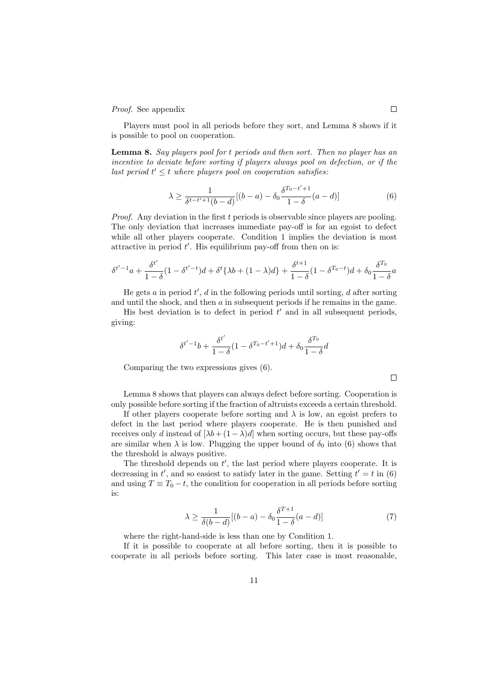Proof. See appendix

Players must pool in all periods before they sort, and Lemma 8 shows if it is possible to pool on cooperation.

Lemma 8. Say players pool for t periods and then sort. Then no player has an incentive to deviate before sorting if players always pool on defection, or if the last period  $t' \leq t$  where players pool on cooperation satisfies:

$$
\lambda \ge \frac{1}{\delta^{t-t'+1}(b-d)}[(b-a) - \delta_0 \frac{\delta^{T_0-t'+1}}{1-\delta}(a-d)] \tag{6}
$$

Proof. Any deviation in the first t periods is observable since players are pooling. The only deviation that increases immediate pay-off is for an egoist to defect while all other players cooperate. Condition 1 implies the deviation is most attractive in period  $t'$ . His equilibrium pay-off from then on is:

$$
\delta^{t'-1}a + \frac{\delta^{t'}}{1-\delta}(1-\delta^{t'-t})d + \delta^t\{\lambda b + (1-\lambda)d\} + \frac{\delta^{t+1}}{1-\delta}(1-\delta^{T_0-t})d + \delta_0\frac{\delta^{T_0}}{1-\delta}a
$$

He gets  $a$  in period  $t'$ ,  $d$  in the following periods until sorting,  $d$  after sorting and until the shock, and then  $a$  in subsequent periods if he remains in the game.

His best deviation is to defect in period  $t'$  and in all subsequent periods, giving:

$$
\delta^{t'-1}b + \frac{\delta^{t'}}{1-\delta}(1-\delta^{T_0-t'+1})d + \delta_0\frac{\delta^{T_0}}{1-\delta}d
$$

Comparing the two expressions gives (6).

Lemma 8 shows that players can always defect before sorting. Cooperation is only possible before sorting if the fraction of altruists exceeds a certain threshold.

If other players cooperate before sorting and  $\lambda$  is low, an egoist prefers to defect in the last period where players cooperate. He is then punished and receives only d instead of  $[\lambda b + (1 - \lambda)d]$  when sorting occurs, but these pay-offs are similar when  $\lambda$  is low. Plugging the upper bound of  $\delta_0$  into (6) shows that the threshold is always positive.

The threshold depends on  $t'$ , the last period where players cooperate. It is decreasing in  $t'$ , and so easiest to satisfy later in the game. Setting  $t' = t$  in (6) and using  $T \equiv T_0 - t$ , the condition for cooperation in all periods before sorting is:

$$
\lambda \ge \frac{1}{\delta(b-d)}[(b-a) - \delta_0 \frac{\delta^{T+1}}{1-\delta}(a-d)] \tag{7}
$$

where the right-hand-side is less than one by Condition 1.

If it is possible to cooperate at all before sorting, then it is possible to cooperate in all periods before sorting. This later case is most reasonable,

 $\Box$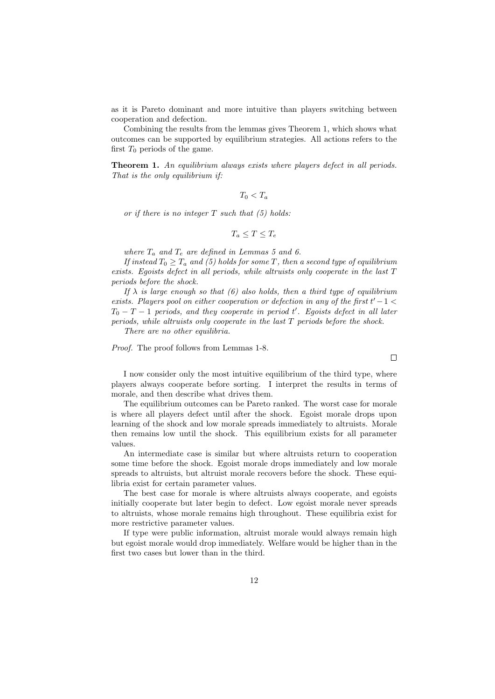as it is Pareto dominant and more intuitive than players switching between cooperation and defection.

Combining the results from the lemmas gives Theorem 1, which shows what outcomes can be supported by equilibrium strategies. All actions refers to the first  $T_0$  periods of the game.

Theorem 1. An equilibrium always exists where players defect in all periods. That is the only equilibrium if:

 $T_0 < T_a$ 

or if there is no integer  $T$  such that  $(5)$  holds:

 $T_a \leq T \leq T_e$ 

where  $T_a$  and  $T_e$  are defined in Lemmas 5 and 6.

If instead  $T_0 \geq T_a$  and (5) holds for some T, then a second type of equilibrium exists. Egoists defect in all periods, while altruists only cooperate in the last T periods before the shock.

If  $\lambda$  is large enough so that (6) also holds, then a third type of equilibrium exists. Players pool on either cooperation or defection in any of the first  $t'-1$  $T_0 - T - 1$  periods, and they cooperate in period t'. Egoists defect in all later periods, while altruists only cooperate in the last T periods before the shock.

There are no other equilibria.

Proof. The proof follows from Lemmas 1-8.

I now consider only the most intuitive equilibrium of the third type, where players always cooperate before sorting. I interpret the results in terms of morale, and then describe what drives them.

The equilibrium outcomes can be Pareto ranked. The worst case for morale is where all players defect until after the shock. Egoist morale drops upon learning of the shock and low morale spreads immediately to altruists. Morale then remains low until the shock. This equilibrium exists for all parameter values.

An intermediate case is similar but where altruists return to cooperation some time before the shock. Egoist morale drops immediately and low morale spreads to altruists, but altruist morale recovers before the shock. These equilibria exist for certain parameter values.

The best case for morale is where altruists always cooperate, and egoists initially cooperate but later begin to defect. Low egoist morale never spreads to altruists, whose morale remains high throughout. These equilibria exist for more restrictive parameter values.

If type were public information, altruist morale would always remain high but egoist morale would drop immediately. Welfare would be higher than in the first two cases but lower than in the third.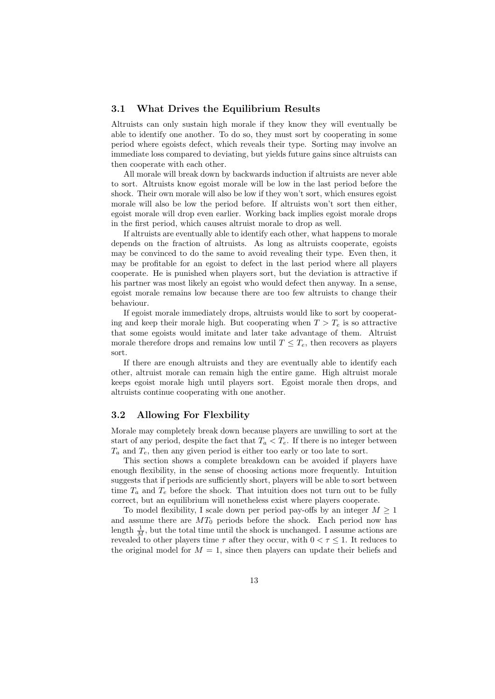#### 3.1 What Drives the Equilibrium Results

Altruists can only sustain high morale if they know they will eventually be able to identify one another. To do so, they must sort by cooperating in some period where egoists defect, which reveals their type. Sorting may involve an immediate loss compared to deviating, but yields future gains since altruists can then cooperate with each other.

All morale will break down by backwards induction if altruists are never able to sort. Altruists know egoist morale will be low in the last period before the shock. Their own morale will also be low if they won't sort, which ensures egoist morale will also be low the period before. If altruists won't sort then either, egoist morale will drop even earlier. Working back implies egoist morale drops in the first period, which causes altruist morale to drop as well.

If altruists are eventually able to identify each other, what happens to morale depends on the fraction of altruists. As long as altruists cooperate, egoists may be convinced to do the same to avoid revealing their type. Even then, it may be profitable for an egoist to defect in the last period where all players cooperate. He is punished when players sort, but the deviation is attractive if his partner was most likely an egoist who would defect then anyway. In a sense, egoist morale remains low because there are too few altruists to change their behaviour.

If egoist morale immediately drops, altruists would like to sort by cooperating and keep their morale high. But cooperating when  $T > T_e$  is so attractive that some egoists would imitate and later take advantage of them. Altruist morale therefore drops and remains low until  $T \leq T_e$ , then recovers as players sort.

If there are enough altruists and they are eventually able to identify each other, altruist morale can remain high the entire game. High altruist morale keeps egoist morale high until players sort. Egoist morale then drops, and altruists continue cooperating with one another.

### 3.2 Allowing For Flexbility

Morale may completely break down because players are unwilling to sort at the start of any period, despite the fact that  $T_a < T_e$ . If there is no integer between  $T_a$  and  $T_e$ , then any given period is either too early or too late to sort.

This section shows a complete breakdown can be avoided if players have enough flexibility, in the sense of choosing actions more frequently. Intuition suggests that if periods are sufficiently short, players will be able to sort between time  $T_a$  and  $T_e$  before the shock. That intuition does not turn out to be fully correct, but an equilibrium will nonetheless exist where players cooperate.

To model flexibility, I scale down per period pay-offs by an integer  $M \geq 1$ and assume there are  $MT_0$  periods before the shock. Each period now has length  $\frac{1}{M}$ , but the total time until the shock is unchanged. I assume actions are revealed to other players time  $\tau$  after they occur, with  $0 < \tau \leq 1$ . It reduces to the original model for  $M = 1$ , since then players can update their beliefs and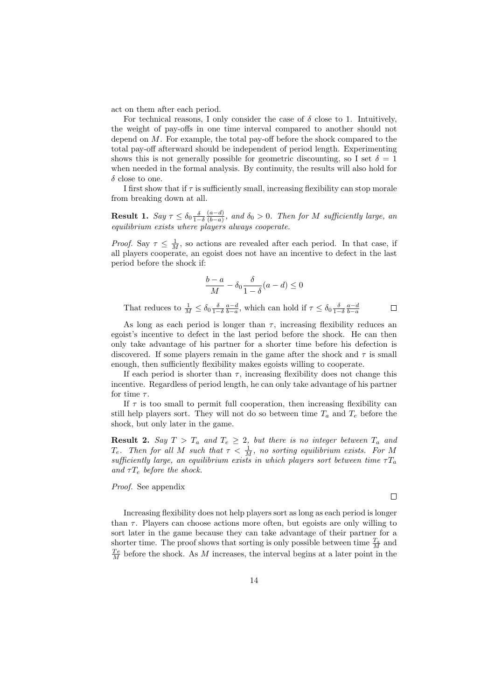act on them after each period.

For technical reasons, I only consider the case of  $\delta$  close to 1. Intuitively, the weight of pay-offs in one time interval compared to another should not depend on  $M$ . For example, the total pay-off before the shock compared to the total pay-off afterward should be independent of period length. Experimenting shows this is not generally possible for geometric discounting, so I set  $\delta = 1$ when needed in the formal analysis. By continuity, the results will also hold for  $\delta$  close to one.

I first show that if  $\tau$  is sufficiently small, increasing flexibility can stop morale from breaking down at all.

**Result 1.**  $Say \tau \leq \delta_0 \frac{\delta}{1-\delta}$  $(a-d)$  $\frac{(a-a)}{(b-a)}$ , and  $\delta_0 > 0$ . Then for M sufficiently large, an equilibrium exists where players always cooperate.

*Proof.* Say  $\tau \leq \frac{1}{M}$ , so actions are revealed after each period. In that case, if all players cooperate, an egoist does not have an incentive to defect in the last period before the shock if:

$$
\frac{b-a}{M} - \delta_0 \frac{\delta}{1-\delta}(a-d) \le 0
$$

That reduces to  $\frac{1}{M} \leq \delta_0 \frac{\delta}{1-\delta} \frac{a-d}{b-a}$ , which can hold if  $\tau \leq \delta_0 \frac{\delta}{1-\delta} \frac{a-d}{b-a}$ 

As long as each period is longer than  $\tau$ , increasing flexibility reduces an egoist's incentive to defect in the last period before the shock. He can then only take advantage of his partner for a shorter time before his defection is discovered. If some players remain in the game after the shock and  $\tau$  is small enough, then sufficiently flexibility makes egoists willing to cooperate.

If each period is shorter than  $\tau$ , increasing flexibility does not change this incentive. Regardless of period length, he can only take advantage of his partner for time  $\tau$ .

If  $\tau$  is too small to permit full cooperation, then increasing flexibility can still help players sort. They will not do so between time  $T_a$  and  $T_e$  before the shock, but only later in the game.

**Result 2.** Say  $T > T_a$  and  $T_e \geq 2$ , but there is no integer between  $T_a$  and  $T_e$ . Then for all M such that  $\tau < \frac{1}{M}$ , no sorting equilibrium exists. For M sufficiently large, an equilibrium exists in which players sort between time  $\tau T_a$ and  $\tau T_e$  before the shock.

Proof. See appendix

Increasing flexibility does not help players sort as long as each period is longer than  $\tau$ . Players can choose actions more often, but egoists are only willing to sort later in the game because they can take advantage of their partner for a shorter time. The proof shows that sorting is only possible between time  $\frac{T_a}{M}$  and  $\frac{T_e}{M}$  before the shock. As M increases, the interval begins at a later point in the

 $\Box$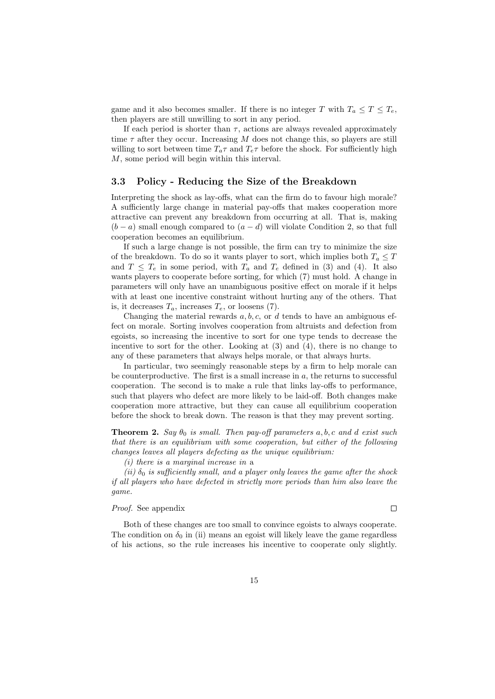game and it also becomes smaller. If there is no integer T with  $T_a \leq T \leq T_e$ , then players are still unwilling to sort in any period.

If each period is shorter than  $\tau$ , actions are always revealed approximately time  $\tau$  after they occur. Increasing M does not change this, so players are still willing to sort between time  $T_a\tau$  and  $T_e\tau$  before the shock. For sufficiently high M, some period will begin within this interval.

#### 3.3 Policy - Reducing the Size of the Breakdown

Interpreting the shock as lay-offs, what can the firm do to favour high morale? A sufficiently large change in material pay-offs that makes cooperation more attractive can prevent any breakdown from occurring at all. That is, making  $(b - a)$  small enough compared to  $(a - d)$  will violate Condition 2, so that full cooperation becomes an equilibrium.

If such a large change is not possible, the firm can try to minimize the size of the breakdown. To do so it wants player to sort, which implies both  $T_a \leq T$ and  $T \leq T_e$  in some period, with  $T_a$  and  $T_e$  defined in (3) and (4). It also wants players to cooperate before sorting, for which (7) must hold. A change in parameters will only have an unambiguous positive effect on morale if it helps with at least one incentive constraint without hurting any of the others. That is, it decreases  $T_a$ , increases  $T_e$ , or loosens (7).

Changing the material rewards  $a, b, c$ , or d tends to have an ambiguous effect on morale. Sorting involves cooperation from altruists and defection from egoists, so increasing the incentive to sort for one type tends to decrease the incentive to sort for the other. Looking at  $(3)$  and  $(4)$ , there is no change to any of these parameters that always helps morale, or that always hurts.

In particular, two seemingly reasonable steps by a firm to help morale can be counterproductive. The first is a small increase in  $a$ , the returns to successful cooperation. The second is to make a rule that links lay-offs to performance, such that players who defect are more likely to be laid-off. Both changes make cooperation more attractive, but they can cause all equilibrium cooperation before the shock to break down. The reason is that they may prevent sorting.

**Theorem 2.** Say  $\theta_0$  is small. Then pay-off parameters a, b, c and d exist such that there is an equilibrium with some cooperation, but either of the following changes leaves all players defecting as the unique equilibrium:

(i) there is a marginal increase in a

(ii)  $\delta_0$  is sufficiently small, and a player only leaves the game after the shock if all players who have defected in strictly more periods than him also leave the game.

#### Proof. See appendix

Both of these changes are too small to convince egoists to always cooperate. The condition on  $\delta_0$  in (ii) means an egoist will likely leave the game regardless of his actions, so the rule increases his incentive to cooperate only slightly.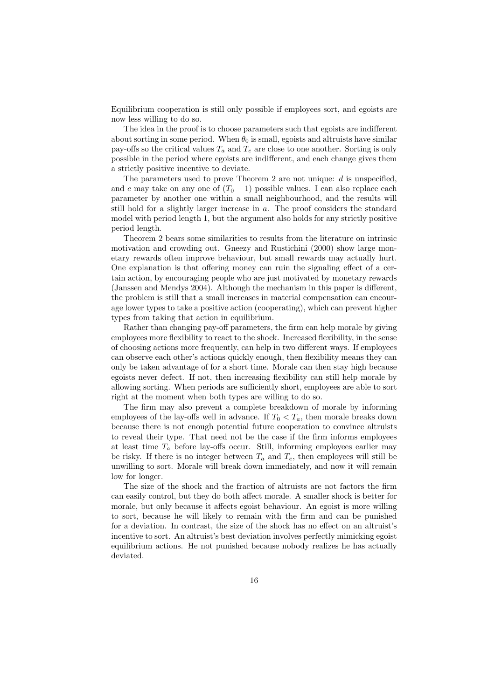Equilibrium cooperation is still only possible if employees sort, and egoists are now less willing to do so.

The idea in the proof is to choose parameters such that egoists are indifferent about sorting in some period. When  $\theta_0$  is small, egoists and altruists have similar pay-offs so the critical values  $T_a$  and  $T_e$  are close to one another. Sorting is only possible in the period where egoists are indifferent, and each change gives them a strictly positive incentive to deviate.

The parameters used to prove Theorem 2 are not unique:  $d$  is unspecified. and c may take on any one of  $(T_0 - 1)$  possible values. I can also replace each parameter by another one within a small neighbourhood, and the results will still hold for a slightly larger increase in a. The proof considers the standard model with period length 1, but the argument also holds for any strictly positive period length.

Theorem 2 bears some similarities to results from the literature on intrinsic motivation and crowding out. Gneezy and Rustichini (2000) show large monetary rewards often improve behaviour, but small rewards may actually hurt. One explanation is that offering money can ruin the signaling effect of a certain action, by encouraging people who are just motivated by monetary rewards (Janssen and Mendys 2004). Although the mechanism in this paper is different, the problem is still that a small increases in material compensation can encourage lower types to take a positive action (cooperating), which can prevent higher types from taking that action in equilibrium.

Rather than changing pay-off parameters, the firm can help morale by giving employees more flexibility to react to the shock. Increased flexibility, in the sense of choosing actions more frequently, can help in two different ways. If employees can observe each other's actions quickly enough, then flexibility means they can only be taken advantage of for a short time. Morale can then stay high because egoists never defect. If not, then increasing flexibility can still help morale by allowing sorting. When periods are sufficiently short, employees are able to sort right at the moment when both types are willing to do so.

The firm may also prevent a complete breakdown of morale by informing employees of the lay-offs well in advance. If  $T_0 < T_a$ , then morale breaks down because there is not enough potential future cooperation to convince altruists to reveal their type. That need not be the case if the firm informs employees at least time  $T_a$  before lay-offs occur. Still, informing employees earlier may be risky. If there is no integer between  $T_a$  and  $T_e$ , then employees will still be unwilling to sort. Morale will break down immediately, and now it will remain low for longer.

The size of the shock and the fraction of altruists are not factors the firm can easily control, but they do both affect morale. A smaller shock is better for morale, but only because it affects egoist behaviour. An egoist is more willing to sort, because he will likely to remain with the firm and can be punished for a deviation. In contrast, the size of the shock has no effect on an altruist's incentive to sort. An altruist's best deviation involves perfectly mimicking egoist equilibrium actions. He not punished because nobody realizes he has actually deviated.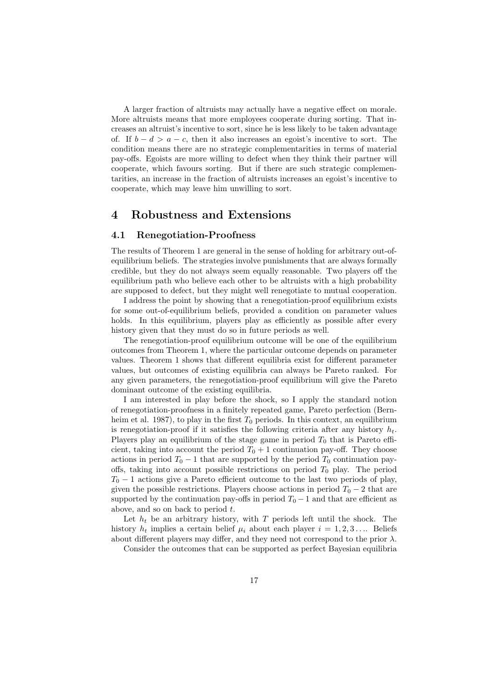A larger fraction of altruists may actually have a negative effect on morale. More altruists means that more employees cooperate during sorting. That increases an altruist's incentive to sort, since he is less likely to be taken advantage of. If  $b - d > a - c$ , then it also increases an egoist's incentive to sort. The condition means there are no strategic complementarities in terms of material pay-offs. Egoists are more willing to defect when they think their partner will cooperate, which favours sorting. But if there are such strategic complementarities, an increase in the fraction of altruists increases an egoist's incentive to cooperate, which may leave him unwilling to sort.

### 4 Robustness and Extensions

#### 4.1 Renegotiation-Proofness

The results of Theorem 1 are general in the sense of holding for arbitrary out-ofequilibrium beliefs. The strategies involve punishments that are always formally credible, but they do not always seem equally reasonable. Two players off the equilibrium path who believe each other to be altruists with a high probability are supposed to defect, but they might well renegotiate to mutual cooperation.

I address the point by showing that a renegotiation-proof equilibrium exists for some out-of-equilibrium beliefs, provided a condition on parameter values holds. In this equilibrium, players play as efficiently as possible after every history given that they must do so in future periods as well.

The renegotiation-proof equilibrium outcome will be one of the equilibrium outcomes from Theorem 1, where the particular outcome depends on parameter values. Theorem 1 shows that different equilibria exist for different parameter values, but outcomes of existing equilibria can always be Pareto ranked. For any given parameters, the renegotiation-proof equilibrium will give the Pareto dominant outcome of the existing equilibria.

I am interested in play before the shock, so I apply the standard notion of renegotiation-proofness in a finitely repeated game, Pareto perfection (Bernheim et al. 1987), to play in the first  $T_0$  periods. In this context, an equilibrium is renegotiation-proof if it satisfies the following criteria after any history  $h_t$ . Players play an equilibrium of the stage game in period  $T_0$  that is Pareto efficient, taking into account the period  $T_0 + 1$  continuation pay-off. They choose actions in period  $T_0 - 1$  that are supported by the period  $T_0$  continuation payoffs, taking into account possible restrictions on period  $T_0$  play. The period  $T_0 - 1$  actions give a Pareto efficient outcome to the last two periods of play, given the possible restrictions. Players choose actions in period  $T_0 - 2$  that are supported by the continuation pay-offs in period  $T_0 - 1$  and that are efficient as above, and so on back to period t.

Let  $h_t$  be an arbitrary history, with T periods left until the shock. The history  $h_t$  implies a certain belief  $\mu_i$  about each player  $i = 1, 2, 3 \ldots$  Beliefs about different players may differ, and they need not correspond to the prior  $\lambda$ .

Consider the outcomes that can be supported as perfect Bayesian equilibria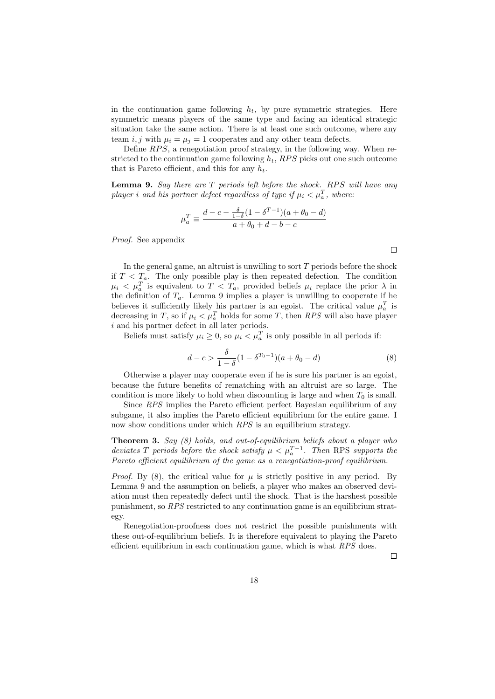in the continuation game following  $h_t$ , by pure symmetric strategies. Here symmetric means players of the same type and facing an identical strategic situation take the same action. There is at least one such outcome, where any team i, j with  $\mu_i = \mu_j = 1$  cooperates and any other team defects.

Define  $RPS$ , a renegotiation proof strategy, in the following way. When restricted to the continuation game following  $h_t$ , RPS picks out one such outcome that is Pareto efficient, and this for any  $h_t$ .

**Lemma 9.** Say there are  $T$  periods left before the shock. RPS will have any player i and his partner defect regardless of type if  $\mu_i < \mu_a^T$ , where:

$$
\mu_a^T \equiv \frac{d - c - \frac{\delta}{1 - \delta} (1 - \delta^{T - 1})(a + \theta_0 - d)}{a + \theta_0 + d - b - c}
$$

Proof. See appendix

In the general game, an altruist is unwilling to sort  $T$  periods before the shock if  $T < T_a$ . The only possible play is then repeated defection. The condition  $\mu_i \leq \mu_a^T$  is equivalent to  $T \leq T_a$ , provided beliefs  $\mu_i$  replace the prior  $\lambda$  in the definition of  $T_a$ . Lemma 9 implies a player is unwilling to cooperate if he believes it sufficiently likely his partner is an egoist. The critical value  $\mu_a^T$  is decreasing in T, so if  $\mu_i < \mu_a^T$  holds for some T, then RPS will also have player i and his partner defect in all later periods.

Beliefs must satisfy  $\mu_i \geq 0$ , so  $\mu_i < \mu_a^T$  is only possible in all periods if:

$$
d - c > \frac{\delta}{1 - \delta} (1 - \delta^{T_0 - 1})(a + \theta_0 - d)
$$
 (8)

Otherwise a player may cooperate even if he is sure his partner is an egoist, because the future benefits of rematching with an altruist are so large. The condition is more likely to hold when discounting is large and when  $T_0$  is small.

Since RPS implies the Pareto efficient perfect Bayesian equilibrium of any subgame, it also implies the Pareto efficient equilibrium for the entire game. I now show conditions under which RPS is an equilibrium strategy.

**Theorem 3.** Say  $(8)$  holds, and out-of-equilibrium beliefs about a player who deviates T periods before the shock satisfy  $\mu < \mu_a^{T-1}$ . Then RPS supports the Pareto efficient equilibrium of the game as a renegotiation-proof equilibrium.

*Proof.* By (8), the critical value for  $\mu$  is strictly positive in any period. By Lemma 9 and the assumption on beliefs, a player who makes an observed deviation must then repeatedly defect until the shock. That is the harshest possible punishment, so RPS restricted to any continuation game is an equilibrium strategy.

Renegotiation-proofness does not restrict the possible punishments with these out-of-equilibrium beliefs. It is therefore equivalent to playing the Pareto efficient equilibrium in each continuation game, which is what  $RPS$  does.

 $\Box$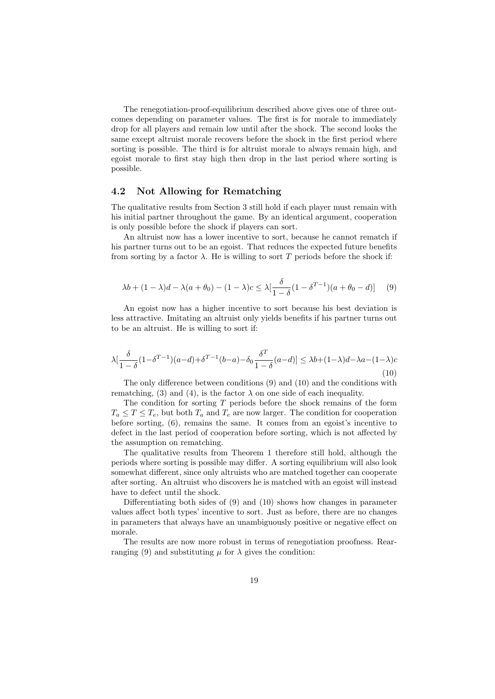The renegotiation-proof-equilibrium described above gives one of three outcomes depending on parameter values. The first is for morale to immediately drop for all players and remain low until after the shock. The second looks the same except altruist morale recovers before the shock in the first period where sorting is possible. The third is for altruist morale to always remain high, and egoist morale to first stay high then drop in the last period where sorting is possible.

### 4.2 Not Allowing for Rematching

The qualitative results from Section 3 still hold if each player must remain with his initial partner throughout the game. By an identical argument, cooperation is only possible before the shock if players can sort.

An altruist now has a lower incentive to sort, because he cannot rematch if his partner turns out to be an egoist. That reduces the expected future benefits from sorting by a factor  $\lambda$ . He is willing to sort T periods before the shock if:

$$
\lambda b + (1 - \lambda)d - \lambda(a + \theta_0) - (1 - \lambda)c \leq \lambda \left[\frac{\delta}{1 - \delta} (1 - \delta^{T-1})(a + \theta_0 - d)\right] \tag{9}
$$

An egoist now has a higher incentive to sort because his best deviation is less attractive. Imitating an altruist only yields benefits if his partner turns out to be an altruist. He is willing to sort if:

$$
\lambda \left[ \frac{\delta}{1-\delta} (1 - \delta^{T-1})(a-d) + \delta^{T-1}(b-a) - \delta_0 \frac{\delta^T}{1-\delta}(a-d) \right] \le \lambda b + (1-\lambda)d - \lambda a - (1-\lambda)c
$$
\n(10)

The only difference between conditions (9) and (10) and the conditions with rematching, (3) and (4), is the factor  $\lambda$  on one side of each inequality.

The condition for sorting  $T$  periods before the shock remains of the form  $T_a \leq T \leq T_e$ , but both  $T_a$  and  $T_e$  are now larger. The condition for cooperation before sorting, (6), remains the same. It comes from an egoist's incentive to defect in the last period of cooperation before sorting, which is not affected by the assumption on rematching.

The qualitative results from Theorem 1 therefore still hold, although the periods where sorting is possible may differ. A sorting equilibrium will also look somewhat different, since only altruists who are matched together can cooperate after sorting. An altruist who discovers he is matched with an egoist will instead have to defect until the shock.

Differentiating both sides of (9) and (10) shows how changes in parameter values affect both types' incentive to sort. Just as before, there are no changes in parameters that always have an unambiguously positive or negative effect on morale.

The results are now more robust in terms of renegotiation proofness. Rearranging (9) and substituting  $\mu$  for  $\lambda$  gives the condition: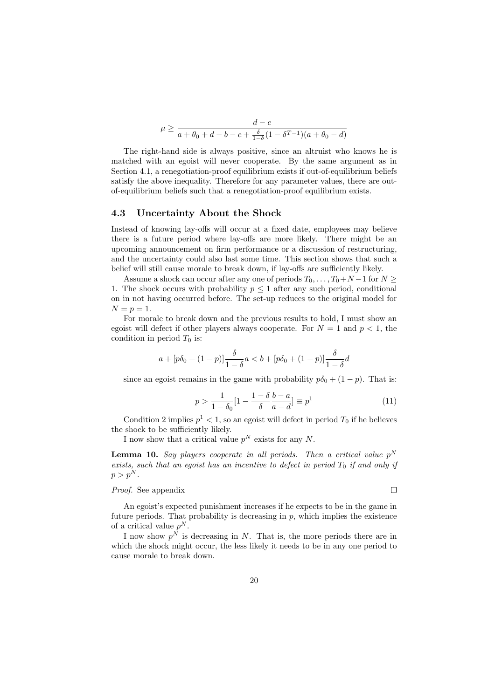$$
\mu \ge \frac{d-c}{a + \theta_0 + d - b - c + \frac{\delta}{1 - \delta} (1 - \delta^{T-1})(a + \theta_0 - d)}
$$

The right-hand side is always positive, since an altruist who knows he is matched with an egoist will never cooperate. By the same argument as in Section 4.1, a renegotiation-proof equilibrium exists if out-of-equilibrium beliefs satisfy the above inequality. Therefore for any parameter values, there are outof-equilibrium beliefs such that a renegotiation-proof equilibrium exists.

#### 4.3 Uncertainty About the Shock

Instead of knowing lay-offs will occur at a fixed date, employees may believe there is a future period where lay-offs are more likely. There might be an upcoming announcement on firm performance or a discussion of restructuring, and the uncertainty could also last some time. This section shows that such a belief will still cause morale to break down, if lay-offs are sufficiently likely.

Assume a shock can occur after any one of periods  $T_0, \ldots, T_0+N-1$  for  $N \geq$ 1. The shock occurs with probability  $p \leq 1$  after any such period, conditional on in not having occurred before. The set-up reduces to the original model for  $N = p = 1.$ 

For morale to break down and the previous results to hold, I must show an egoist will defect if other players always cooperate. For  $N = 1$  and  $p < 1$ , the condition in period  $T_0$  is:

$$
a + [p\delta_0 + (1-p)] \frac{\delta}{1-\delta} a < b + [p\delta_0 + (1-p)] \frac{\delta}{1-\delta} d
$$

since an egoist remains in the game with probability  $p\delta_0 + (1 - p)$ . That is:

$$
p > \frac{1}{1 - \delta_0} \left[ 1 - \frac{1 - \delta b - a}{\delta a - d} \right] \equiv p^1 \tag{11}
$$

Condition 2 implies  $p^1 < 1$ , so an egoist will defect in period  $T_0$  if he believes the shock to be sufficiently likely.

I now show that a critical value  $p^N$  exists for any N.

**Lemma 10.** Say players cooperate in all periods. Then a critical value  $p^N$ exists, such that an egoist has an incentive to defect in period  $T_0$  if and only if  $p > p^N$ .

### Proof. See appendix

An egoist's expected punishment increases if he expects to be in the game in future periods. That probability is decreasing in  $p$ , which implies the existence of a critical value  $p^N$ .

I now show  $p^N$  is decreasing in N. That is, the more periods there are in which the shock might occur, the less likely it needs to be in any one period to cause morale to break down.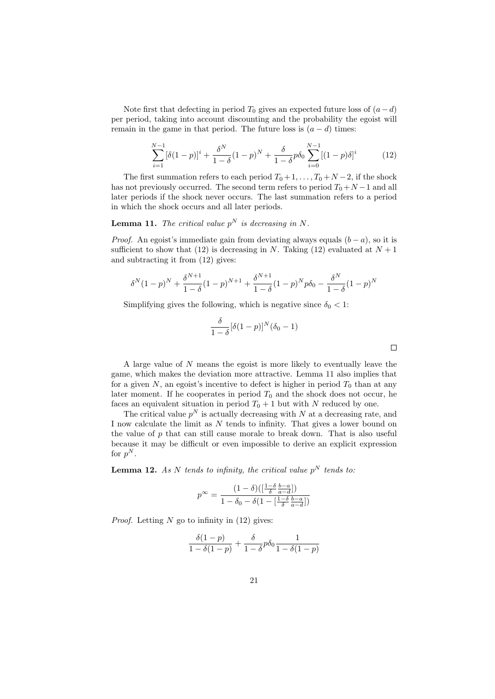Note first that defecting in period  $T_0$  gives an expected future loss of  $(a-d)$ per period, taking into account discounting and the probability the egoist will remain in the game in that period. The future loss is  $(a - d)$  times:

$$
\sum_{i=1}^{N-1} [\delta(1-p)]^i + \frac{\delta^N}{1-\delta} (1-p)^N + \frac{\delta}{1-\delta} p \delta_0 \sum_{i=0}^{N-1} [(1-p)\delta]^i \tag{12}
$$

The first summation refers to each period  $T_0 + 1, \ldots, T_0 + N - 2$ , if the shock has not previously occurred. The second term refers to period  $T_0+N-1$  and all later periods if the shock never occurs. The last summation refers to a period in which the shock occurs and all later periods.

### **Lemma 11.** The critical value  $p^N$  is decreasing in N.

*Proof.* An egoist's immediate gain from deviating always equals  $(b - a)$ , so it is sufficient to show that (12) is decreasing in N. Taking (12) evaluated at  $N+1$ and subtracting it from (12) gives:

$$
\delta^{N}(1-p)^{N} + \frac{\delta^{N+1}}{1-\delta}(1-p)^{N+1} + \frac{\delta^{N+1}}{1-\delta}(1-p)^{N}p\delta_{0} - \frac{\delta^{N}}{1-\delta}(1-p)^{N}
$$

Simplifying gives the following, which is negative since  $\delta_0 < 1$ :

$$
\frac{\delta}{1-\delta}[\delta(1-p)]^N(\delta_0-1)
$$

 $\Box$ 

A large value of N means the egoist is more likely to eventually leave the game, which makes the deviation more attractive. Lemma 11 also implies that for a given  $N$ , an egoist's incentive to defect is higher in period  $T_0$  than at any later moment. If he cooperates in period  $T_0$  and the shock does not occur, he faces an equivalent situation in period  $T_0 + 1$  but with N reduced by one.

The critical value  $p^N$  is actually decreasing with N at a decreasing rate, and I now calculate the limit as N tends to infinity. That gives a lower bound on the value of  $p$  that can still cause morale to break down. That is also useful because it may be difficult or even impossible to derive an explicit expression for  $p^N$ .

**Lemma 12.** As N tends to infinity, the critical value  $p^N$  tends to:

$$
p^{\infty} = \frac{(1-\delta)(\left[\frac{1-\delta}{\delta}\frac{b-a}{a-d}\right])}{1-\delta_0-\delta(1-\left[\frac{1-\delta}{\delta}\frac{b-a}{a-d}\right])}
$$

*Proof.* Letting  $N$  go to infinity in  $(12)$  gives:

$$
\frac{\delta(1-p)}{1-\delta(1-p)} + \frac{\delta}{1-\delta} p \delta_0 \frac{1}{1-\delta(1-p)}
$$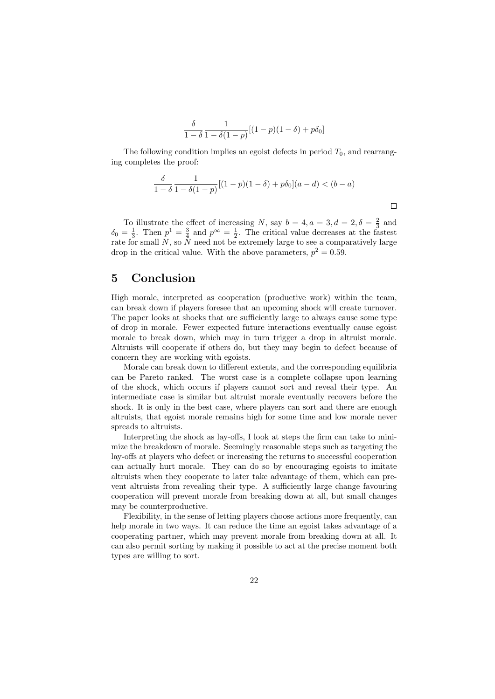$$
\frac{\delta}{1-\delta}\frac{1}{1-\delta(1-p)}[(1-p)(1-\delta)+p\delta_0]
$$

The following condition implies an egoist defects in period  $T_0$ , and rearranging completes the proof:

$$
\frac{\delta}{1-\delta} \frac{1}{1-\delta(1-p)} [(1-p)(1-\delta) + p\delta_0](a-d) < (b-a)
$$

To illustrate the effect of increasing N, say  $b = 4, a = 3, d = 2, \delta = \frac{2}{3}$  and  $\delta_0 = \frac{1}{3}$ . Then  $p^1 = \frac{3}{4}$  and  $p^{\infty} = \frac{1}{2}$ . The critical value decreases at the fastest rate for small N, so  $\overline{N}$  need not be extremely large to see a comparatively large drop in the critical value. With the above parameters,  $p^2 = 0.59$ .

# 5 Conclusion

High morale, interpreted as cooperation (productive work) within the team, can break down if players foresee that an upcoming shock will create turnover. The paper looks at shocks that are sufficiently large to always cause some type of drop in morale. Fewer expected future interactions eventually cause egoist morale to break down, which may in turn trigger a drop in altruist morale. Altruists will cooperate if others do, but they may begin to defect because of concern they are working with egoists.

Morale can break down to different extents, and the corresponding equilibria can be Pareto ranked. The worst case is a complete collapse upon learning of the shock, which occurs if players cannot sort and reveal their type. An intermediate case is similar but altruist morale eventually recovers before the shock. It is only in the best case, where players can sort and there are enough altruists, that egoist morale remains high for some time and low morale never spreads to altruists.

Interpreting the shock as lay-offs, I look at steps the firm can take to minimize the breakdown of morale. Seemingly reasonable steps such as targeting the lay-offs at players who defect or increasing the returns to successful cooperation can actually hurt morale. They can do so by encouraging egoists to imitate altruists when they cooperate to later take advantage of them, which can prevent altruists from revealing their type. A sufficiently large change favouring cooperation will prevent morale from breaking down at all, but small changes may be counterproductive.

Flexibility, in the sense of letting players choose actions more frequently, can help morale in two ways. It can reduce the time an egoist takes advantage of a cooperating partner, which may prevent morale from breaking down at all. It can also permit sorting by making it possible to act at the precise moment both types are willing to sort.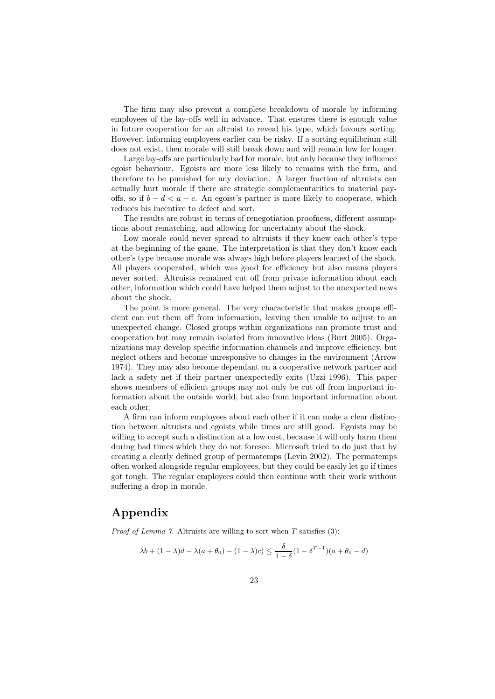The firm may also prevent a complete breakdown of morale by informing employees of the lay-offs well in advance. That ensures there is enough value in future cooperation for an altruist to reveal his type, which favours sorting. However, informing employees earlier can be risky. If a sorting equilibrium still does not exist, then morale will still break down and will remain low for longer.

Large lay-offs are particularly bad for morale, but only because they influence egoist behaviour. Egoists are more less likely to remains with the firm, and therefore to be punished for any deviation. A larger fraction of altruists can actually hurt morale if there are strategic complementarities to material payoffs, so if  $b - d < a - c$ . An egoist's partner is more likely to cooperate, which reduces his incentive to defect and sort.

The results are robust in terms of renegotiation proofness, different assumptions about rematching, and allowing for uncertainty about the shock.

Low morale could never spread to altruists if they knew each other's type at the beginning of the game. The interpretation is that they don't know each other's type because morale was always high before players learned of the shock. All players cooperated, which was good for efficiency but also means players never sorted. Altruists remained cut off from private information about each other, information which could have helped them adjust to the unexpected news about the shock.

The point is more general. The very characteristic that makes groups efficient can cut them off from information, leaving then unable to adjust to an unexpected change. Closed groups within organizations can promote trust and cooperation but may remain isolated from innovative ideas (Burt 2005). Organizations may develop specific information channels and improve efficiency, but neglect others and become unresponsive to changes in the environment (Arrow 1974). They may also become dependant on a cooperative network partner and lack a safety net if their partner unexpectedly exits (Uzzi 1996). This paper shows members of efficient groups may not only be cut off from important information about the outside world, but also from important information about each other.

A firm can inform employees about each other if it can make a clear distinction between altruists and egoists while times are still good. Egoists may be willing to accept such a distinction at a low cost, because it will only harm them during bad times which they do not foresee. Microsoft tried to do just that by creating a clearly defined group of permatemps (Levin 2002). The permatemps often worked alongside regular employees, but they could be easily let go if times got tough. The regular employees could then continue with their work without suffering a drop in morale.

# Appendix

*Proof of Lemma 7.* Altruists are willing to sort when  $T$  satisfies (3):

$$
\lambda b + (1 - \lambda)d - \lambda(a + \theta_0) - (1 - \lambda)c \leq \frac{\delta}{1 - \delta}(1 - \delta^{T-1})(a + \theta_0 - d)
$$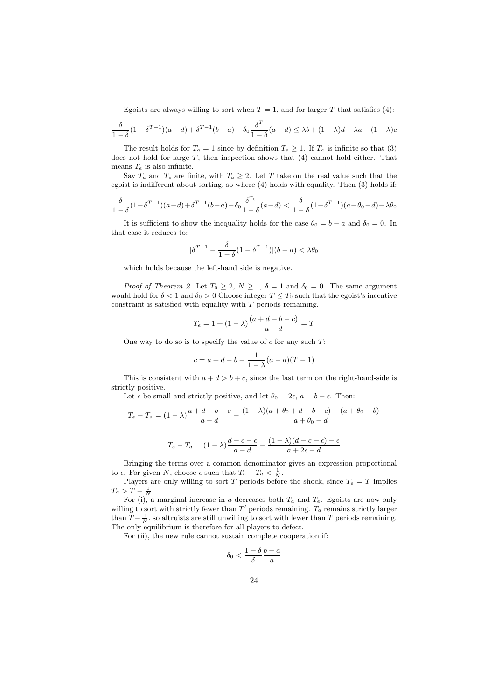Egoists are always willing to sort when  $T = 1$ , and for larger T that satisfies (4):

$$
\frac{\delta}{1-\delta}(1-\delta^{T-1})(a-d)+\delta^{T-1}(b-a)-\delta_0\frac{\delta^T}{1-\delta}(a-d)\leq \lambda b+(1-\lambda)d-\lambda a-(1-\lambda)c
$$

The result holds for  $T_a = 1$  since by definition  $T_e \geq 1$ . If  $T_a$  is infinite so that (3) does not hold for large  $T$ , then inspection shows that  $(4)$  cannot hold either. That means  $T_e$  is also infinite.

Say  $T_a$  and  $T_e$  are finite, with  $T_a \geq 2$ . Let T take on the real value such that the egoist is indifferent about sorting, so where (4) holds with equality. Then (3) holds if:

$$
\frac{\delta}{1-\delta}(1-\delta^{T-1})(a-d) + \delta^{T-1}(b-a) - \delta_0 \frac{\delta^{T_0}}{1-\delta}(a-d) < \frac{\delta}{1-\delta}(1-\delta^{T-1})(a+\theta_0-d) + \lambda\theta_0
$$

It is sufficient to show the inequality holds for the case  $\theta_0 = b - a$  and  $\delta_0 = 0$ . In that case it reduces to:

$$
[\delta^{T-1} - \frac{\delta}{1-\delta}(1-\delta^{T-1})](b-a) < \lambda\theta_0
$$

which holds because the left-hand side is negative.

*Proof of Theorem 2.* Let  $T_0 \geq 2$ ,  $N \geq 1$ ,  $\delta = 1$  and  $\delta_0 = 0$ . The same argument would hold for  $\delta < 1$  and  $\delta_0 > 0$  Choose integer  $T \leq T_0$  such that the egoist's incentive constraint is satisfied with equality with  $T$  periods remaining.

$$
T_e = 1 + (1 - \lambda) \frac{(a + d - b - c)}{a - d} = T
$$

One way to do so is to specify the value of  $c$  for any such  $T$ :

$$
c = a + d - b - \frac{1}{1 - \lambda}(a - d)(T - 1)
$$

This is consistent with  $a + d > b + c$ , since the last term on the right-hand-side is strictly positive.

Let  $\epsilon$  be small and strictly positive, and let  $\theta_0 = 2\epsilon$ ,  $a = b - \epsilon$ . Then:

$$
T_e - T_a = (1 - \lambda) \frac{a + d - b - c}{a - d} - \frac{(1 - \lambda)(a + \theta_0 + d - b - c) - (a + \theta_0 - b)}{a + \theta_0 - d}
$$

$$
T_e - T_a = (1 - \lambda) \frac{d - c - \epsilon}{a - d} - \frac{(1 - \lambda)(d - c + \epsilon) - \epsilon}{a + 2\epsilon - d}
$$

Bringing the terms over a common denominator gives an expression proportional to  $\epsilon$ . For given N, choose  $\epsilon$  such that  $T_e - T_a < \frac{1}{N}$ .

Players are only willing to sort T periods before the shock, since  $T_e = T$  implies  $T_a > T - \frac{1}{N}.$ 

For (i), a marginal increase in a decreases both  $T_a$  and  $T_e$ . Egoists are now only willing to sort with strictly fewer than  $T'$  periods remaining.  $T_a$  remains strictly larger than  $T - \frac{1}{N}$ , so altruists are still unwilling to sort with fewer than T periods remaining. The only equilibrium is therefore for all players to defect.

For (ii), the new rule cannot sustain complete cooperation if:

$$
\delta_0 < \frac{1-\delta}{\delta} \frac{b-a}{a}
$$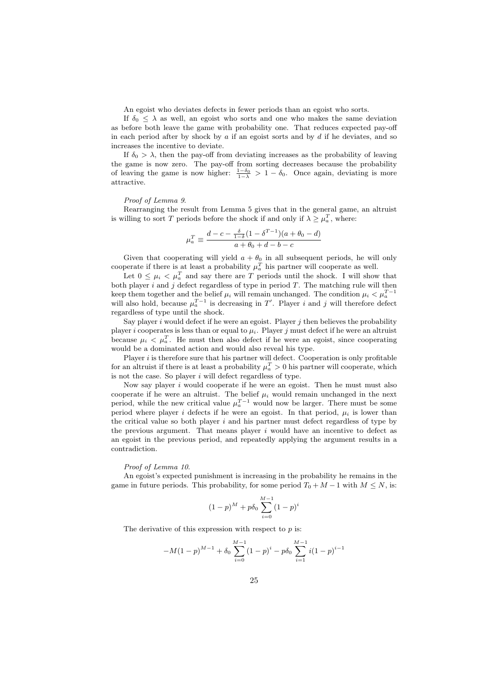An egoist who deviates defects in fewer periods than an egoist who sorts.

If  $\delta_0 \leq \lambda$  as well, an egoist who sorts and one who makes the same deviation as before both leave the game with probability one. That reduces expected pay-off in each period after by shock by  $\alpha$  if an egoist sorts and by  $d$  if he deviates, and so increases the incentive to deviate.

If  $\delta_0 > \lambda$ , then the pay-off from deviating increases as the probability of leaving the game is now zero. The pay-off from sorting decreases because the probability of leaving the game is now higher:  $\frac{1-\delta_0}{1-\lambda} > 1-\delta_0$ . Once again, deviating is more attractive.

#### Proof of Lemma 9.

Rearranging the result from Lemma 5 gives that in the general game, an altruist is willing to sort T periods before the shock if and only if  $\lambda \geq \mu_a^T$ , where:

$$
\mu_a^T \equiv \frac{d - c - \frac{\delta}{1 - \delta} (1 - \delta^{T - 1})(a + \theta_0 - d)}{a + \theta_0 + d - b - c}
$$

Given that cooperating will yield  $a + \theta_0$  in all subsequent periods, he will only cooperate if there is at least a probability  $\mu_a^T$  his partner will cooperate as well.

Let  $0 \leq \mu_i \lt \mu_a^T$  and say there are T periods until the shock. I will show that both player  $i$  and  $j$  defect regardless of type in period  $T$ . The matching rule will then keep them together and the belief  $\mu_i$  will remain unchanged. The condition  $\mu_i < \mu_a^{T-1}$  will also hold, because  $\mu_a^{T-1}$  is decreasing in T'. Player *i* and *j* will therefore defect regardless of type until the shock.

Say player  $i$  would defect if he were an egoist. Player  $j$  then believes the probability player i cooperates is less than or equal to  $\mu_i$ . Player j must defect if he were an altruist because  $\mu_i < \mu_a^T$ . He must then also defect if he were an egoist, since cooperating would be a dominated action and would also reveal his type.

Player  $i$  is therefore sure that his partner will defect. Cooperation is only profitable for an altruist if there is at least a probability  $\mu_a^T > 0$  his partner will cooperate, which is not the case. So player  $i$  will defect regardless of type.

Now say player  $i$  would cooperate if he were an egoist. Then he must must also cooperate if he were an altruist. The belief  $\mu_i$  would remain unchanged in the next period, while the new critical value  $\mu_a^{T-1}$  would now be larger. There must be some period where player i defects if he were an egoist. In that period,  $\mu_i$  is lower than the critical value so both player  $i$  and his partner must defect regardless of type by the previous argument. That means player  $i$  would have an incentive to defect as an egoist in the previous period, and repeatedly applying the argument results in a contradiction.

#### Proof of Lemma 10.

An egoist's expected punishment is increasing in the probability he remains in the game in future periods. This probability, for some period  $T_0 + M - 1$  with  $M \leq N$ , is:

$$
(1-p)^M + p\delta_0 \sum_{i=0}^{M-1} (1-p)^i
$$

The derivative of this expression with respect to  $p$  is:

$$
-M(1-p)^{M-1} + \delta_0 \sum_{i=0}^{M-1} (1-p)^i - p\delta_0 \sum_{i=1}^{M-1} i(1-p)^{i-1}
$$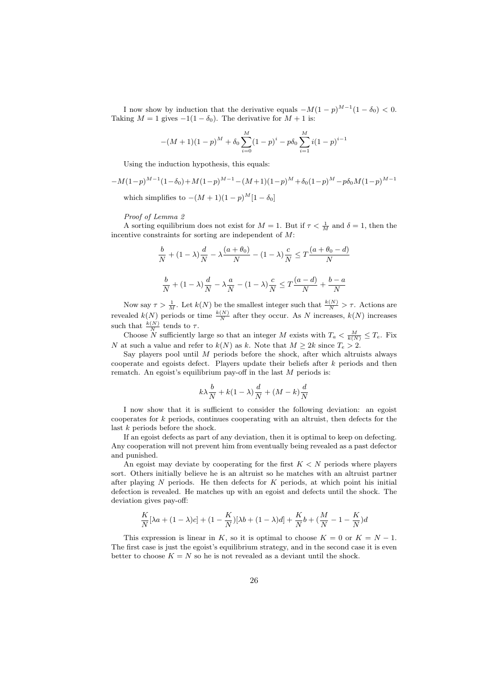I now show by induction that the derivative equals  $-M(1-p)^{M-1}(1-\delta_0) < 0$ . Taking  $M = 1$  gives  $-1(1 - \delta_0)$ . The derivative for  $M + 1$  is:

$$
-(M+1)(1-p)^M + \delta_0 \sum_{i=0}^{M} (1-p)^i - p\delta_0 \sum_{i=1}^{M} i(1-p)^{i-1}
$$

Using the induction hypothesis, this equals:

$$
-M(1-p)^{M-1}(1-\delta_0) + M(1-p)^{M-1} - (M+1)(1-p)^M + \delta_0(1-p)^M - p\delta_0M(1-p)^{M-1}
$$
  
which simplifies to  $-(M+1)(1-p)^M[1-\delta_0]$ 

#### Proof of Lemma 2

A sorting equilibrium does not exist for  $M = 1$ . But if  $\tau < \frac{1}{M}$  and  $\delta = 1$ , then the incentive constraints for sorting are independent of M:

$$
\frac{b}{N} + (1 - \lambda)\frac{d}{N} - \lambda\frac{(a + \theta_0)}{N} - (1 - \lambda)\frac{c}{N} \le T\frac{(a + \theta_0 - d)}{N}
$$

$$
\frac{b}{N} + (1 - \lambda)\frac{d}{N} - \lambda\frac{a}{N} - (1 - \lambda)\frac{c}{N} \le T\frac{(a - d)}{N} + \frac{b - a}{N}
$$

Now say  $\tau > \frac{1}{M}$ . Let  $k(N)$  be the smallest integer such that  $\frac{k(N)}{N} > \tau$ . Actions are revealed  $k(N)$  periods or time  $\frac{k(N)}{N}$  after they occur. As N increases,  $k(N)$  increases such that  $\frac{k(N)}{N}$  tends to  $\tau$ .

Choose N sufficiently large so that an integer M exists with  $T_a < \frac{M}{k(N)} \leq T_e$ . Fix N at such a value and refer to  $k(N)$  as k. Note that  $M \geq 2k$  since  $T_e > 2$ .

Say players pool until  $M$  periods before the shock, after which altruists always cooperate and egoists defect. Players update their beliefs after k periods and then rematch. An egoist's equilibrium pay-off in the last  $M$  periods is:

$$
k\lambda \frac{b}{N} + k(1 - \lambda)\frac{d}{N} + (M - k)\frac{d}{N}
$$

I now show that it is sufficient to consider the following deviation: an egoist cooperates for k periods, continues cooperating with an altruist, then defects for the last k periods before the shock.

If an egoist defects as part of any deviation, then it is optimal to keep on defecting. Any cooperation will not prevent him from eventually being revealed as a past defector and punished.

An egoist may deviate by cooperating for the first  $K < N$  periods where players sort. Others initially believe he is an altruist so he matches with an altruist partner after playing  $N$  periods. He then defects for  $K$  periods, at which point his initial defection is revealed. He matches up with an egoist and defects until the shock. The deviation gives pay-off:

$$
\frac{K}{N}[\lambda a+(1-\lambda) c]+(1-\frac{K}{N})[\lambda b+(1-\lambda) d]+\frac{K}{N}b+(\frac{M}{N}-1-\frac{K}{N})d
$$

This expression is linear in K, so it is optimal to choose  $K = 0$  or  $K = N - 1$ . The first case is just the egoist's equilibrium strategy, and in the second case it is even better to choose  $K = N$  so he is not revealed as a deviant until the shock.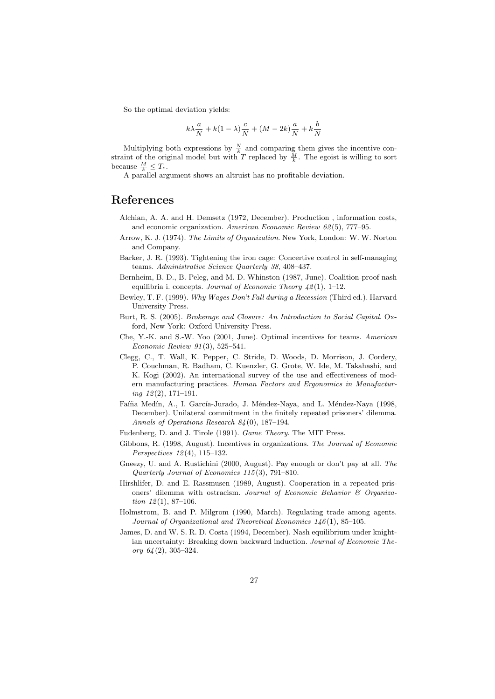So the optimal deviation yields:

$$
k\lambda \frac{a}{N} + k(1 - \lambda)\frac{c}{N} + (M - 2k)\frac{a}{N} + k\frac{b}{N}
$$

Multiplying both expressions by  $\frac{N}{k}$  and comparing them gives the incentive constraint of the original model but with T replaced by  $\frac{M}{k}$ . The egoist is willing to sort because  $\frac{M}{k} \leq T_e$ .

A parallel argument shows an altruist has no profitable deviation.

### References

- Alchian, A. A. and H. Demsetz (1972, December). Production , information costs, and economic organization. American Economic Review 62 (5), 777–95.
- Arrow, K. J. (1974). The Limits of Organization. New York, London: W. W. Norton and Company.
- Barker, J. R. (1993). Tightening the iron cage: Concertive control in self-managing teams. Administrative Science Quarterly 38, 408–437.
- Bernheim, B. D., B. Peleg, and M. D. Whinston (1987, June). Coalition-proof nash equilibria i. concepts. Journal of Economic Theory  $\frac{1}{2}(1)$ , 1–12.
- Bewley, T. F. (1999). Why Wages Don't Fall during a Recession (Third ed.). Harvard University Press.
- Burt, R. S. (2005). Brokerage and Closure: An Introduction to Social Capital. Oxford, New York: Oxford University Press.
- Che, Y.-K. and S.-W. Yoo (2001, June). Optimal incentives for teams. American Economic Review 91 (3), 525–541.
- Clegg, C., T. Wall, K. Pepper, C. Stride, D. Woods, D. Morrison, J. Cordery, P. Couchman, R. Badham, C. Kuenzler, G. Grote, W. Ide, M. Takahashi, and K. Kogi (2002). An international survey of the use and effectiveness of modern manufacturing practices. Human Factors and Ergonomics in Manufactur $ing\ 12(2),\ 171-191.$
- Faíña Medín, A., I. García-Jurado, J. Méndez-Naya, and L. Méndez-Naya (1998, December). Unilateral commitment in the finitely repeated prisoners' dilemma. Annals of Operations Research 84 (0), 187–194.
- Fudenberg, D. and J. Tirole (1991). Game Theory. The MIT Press.
- Gibbons, R. (1998, August). Incentives in organizations. The Journal of Economic Perspectives 12 (4), 115–132.
- Gneezy, U. and A. Rustichini (2000, August). Pay enough or don't pay at all. The Quarterly Journal of Economics 115 (3), 791–810.
- Hirshlifer, D. and E. Rassmusen (1989, August). Cooperation in a repeated prisoners' dilemma with ostracism. Journal of Economic Behavior & Organization  $12(1), 87-106.$
- Holmstrom, B. and P. Milgrom (1990, March). Regulating trade among agents. Journal of Organizational and Theoretical Economics 146(1), 85-105.
- James, D. and W. S. R. D. Costa (1994, December). Nash equilibrium under knightian uncertainty: Breaking down backward induction. Journal of Economic Theory  $64(2)$ , 305-324.